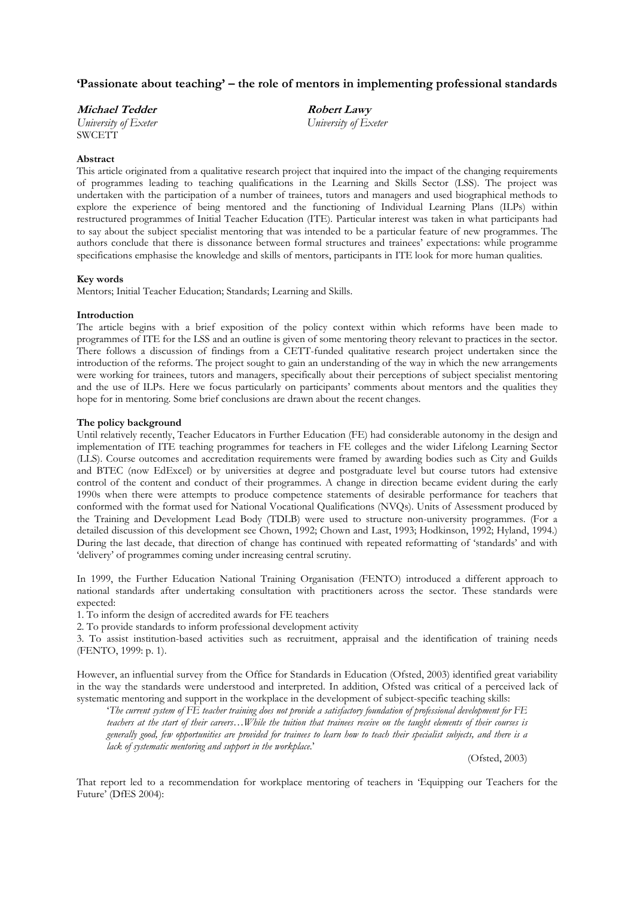# 'Passionate about teaching' – the role of mentors in implementing professional standards

| <i>Michael Tedder</i> | <i>Robert Lawy</i>   |  |
|-----------------------|----------------------|--|
| University of Exeter  | University of Exeter |  |
| <b>SWCETT</b>         |                      |  |

### Abstract

This article originated from a qualitative research project that inquired into the impact of the changing requirements of programmes leading to teaching qualifications in the Learning and Skills Sector (LSS). The project was undertaken with the participation of a number of trainees, tutors and managers and used biographical methods to explore the experience of being mentored and the functioning of Individual Learning Plans (ILPs) within restructured programmes of Initial Teacher Education (ITE). Particular interest was taken in what participants had to say about the subject specialist mentoring that was intended to be a particular feature of new programmes. The authors conclude that there is dissonance between formal structures and trainees' expectations: while programme specifications emphasise the knowledge and skills of mentors, participants in ITE look for more human qualities.

#### Key words

Mentors; Initial Teacher Education; Standards; Learning and Skills.

#### Introduction

The article begins with a brief exposition of the policy context within which reforms have been made to programmes of ITE for the LSS and an outline is given of some mentoring theory relevant to practices in the sector. There follows a discussion of findings from a CETT-funded qualitative research project undertaken since the introduction of the reforms. The project sought to gain an understanding of the way in which the new arrangements were working for trainees, tutors and managers, specifically about their perceptions of subject specialist mentoring and the use of ILPs. Here we focus particularly on participants' comments about mentors and the qualities they hope for in mentoring. Some brief conclusions are drawn about the recent changes.

#### The policy background

Until relatively recently, Teacher Educators in Further Education (FE) had considerable autonomy in the design and implementation of ITE teaching programmes for teachers in FE colleges and the wider Lifelong Learning Sector (LLS). Course outcomes and accreditation requirements were framed by awarding bodies such as City and Guilds and BTEC (now EdExcel) or by universities at degree and postgraduate level but course tutors had extensive control of the content and conduct of their programmes. A change in direction became evident during the early 1990s when there were attempts to produce competence statements of desirable performance for teachers that conformed with the format used for National Vocational Qualifications (NVQs). Units of Assessment produced by the Training and Development Lead Body (TDLB) were used to structure non-university programmes. (For a detailed discussion of this development see Chown, 1992; Chown and Last, 1993; Hodkinson, 1992; Hyland, 1994.) During the last decade, that direction of change has continued with repeated reformatting of 'standards' and with 'delivery' of programmes coming under increasing central scrutiny.

In 1999, the Further Education National Training Organisation (FENTO) introduced a different approach to national standards after undertaking consultation with practitioners across the sector. These standards were expected:

1. To inform the design of accredited awards for FE teachers

2. To provide standards to inform professional development activity

3. To assist institution-based activities such as recruitment, appraisal and the identification of training needs (FENTO, 1999: p. 1).

However, an influential survey from the Office for Standards in Education (Ofsted, 2003) identified great variability in the way the standards were understood and interpreted. In addition, Ofsted was critical of a perceived lack of systematic mentoring and support in the workplace in the development of subject-specific teaching skills:

'The current system of FE teacher training does not provide a satisfactory foundation of professional development for FE teachers at the start of their careers…While the tuition that trainees receive on the taught elements of their courses is generally good, few opportunities are provided for trainees to learn how to teach their specialist subjects, and there is a lack of systematic mentoring and support in the workplace.'

(Ofsted, 2003)

That report led to a recommendation for workplace mentoring of teachers in 'Equipping our Teachers for the Future' (DfES 2004):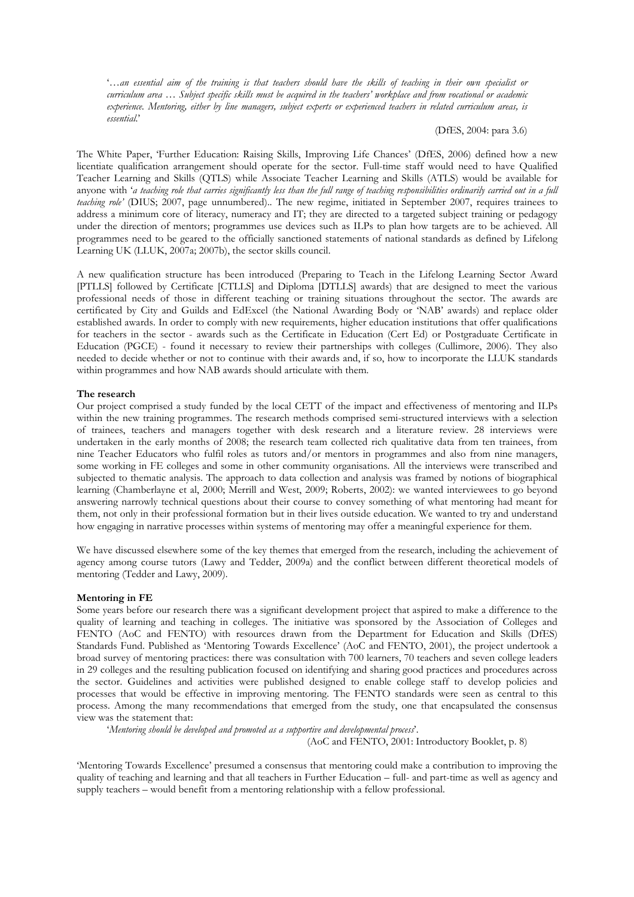'…an essential aim of the training is that teachers should have the skills of teaching in their own specialist or curriculum area … Subject specific skills must be acquired in the teachers' workplace and from vocational or academic experience. Mentoring, either by line managers, subject experts or experienced teachers in related curriculum areas, is essential.'

(DfES, 2004: para 3.6)

The White Paper, 'Further Education: Raising Skills, Improving Life Chances' (DfES, 2006) defined how a new licentiate qualification arrangement should operate for the sector. Full-time staff would need to have Qualified Teacher Learning and Skills (QTLS) while Associate Teacher Learning and Skills (ATLS) would be available for anyone with 'a teaching role that carries significantly less than the full range of teaching responsibilities ordinarily carried out in a full teaching role' (DIUS; 2007, page unnumbered).. The new regime, initiated in September 2007, requires trainees to address a minimum core of literacy, numeracy and IT; they are directed to a targeted subject training or pedagogy under the direction of mentors; programmes use devices such as ILPs to plan how targets are to be achieved. All programmes need to be geared to the officially sanctioned statements of national standards as defined by Lifelong Learning UK (LLUK, 2007a; 2007b), the sector skills council.

A new qualification structure has been introduced (Preparing to Teach in the Lifelong Learning Sector Award [PTLLS] followed by Certificate [CTLLS] and Diploma [DTLLS] awards) that are designed to meet the various professional needs of those in different teaching or training situations throughout the sector. The awards are certificated by City and Guilds and EdExcel (the National Awarding Body or 'NAB' awards) and replace older established awards. In order to comply with new requirements, higher education institutions that offer qualifications for teachers in the sector - awards such as the Certificate in Education (Cert Ed) or Postgraduate Certificate in Education (PGCE) - found it necessary to review their partnerships with colleges (Cullimore, 2006). They also needed to decide whether or not to continue with their awards and, if so, how to incorporate the LLUK standards within programmes and how NAB awards should articulate with them.

#### The research

Our project comprised a study funded by the local CETT of the impact and effectiveness of mentoring and ILPs within the new training programmes. The research methods comprised semi-structured interviews with a selection of trainees, teachers and managers together with desk research and a literature review. 28 interviews were undertaken in the early months of 2008; the research team collected rich qualitative data from ten trainees, from nine Teacher Educators who fulfil roles as tutors and/or mentors in programmes and also from nine managers, some working in FE colleges and some in other community organisations. All the interviews were transcribed and subjected to thematic analysis. The approach to data collection and analysis was framed by notions of biographical learning (Chamberlayne et al, 2000; Merrill and West, 2009; Roberts, 2002): we wanted interviewees to go beyond answering narrowly technical questions about their course to convey something of what mentoring had meant for them, not only in their professional formation but in their lives outside education. We wanted to try and understand how engaging in narrative processes within systems of mentoring may offer a meaningful experience for them.

We have discussed elsewhere some of the key themes that emerged from the research, including the achievement of agency among course tutors (Lawy and Tedder, 2009a) and the conflict between different theoretical models of mentoring (Tedder and Lawy, 2009).

#### Mentoring in FE

Some years before our research there was a significant development project that aspired to make a difference to the quality of learning and teaching in colleges. The initiative was sponsored by the Association of Colleges and FENTO (AoC and FENTO) with resources drawn from the Department for Education and Skills (DfES) Standards Fund. Published as 'Mentoring Towards Excellence' (AoC and FENTO, 2001), the project undertook a broad survey of mentoring practices: there was consultation with 700 learners, 70 teachers and seven college leaders in 29 colleges and the resulting publication focused on identifying and sharing good practices and procedures across the sector. Guidelines and activities were published designed to enable college staff to develop policies and processes that would be effective in improving mentoring. The FENTO standards were seen as central to this process. Among the many recommendations that emerged from the study, one that encapsulated the consensus view was the statement that:

'Mentoring should be developed and promoted as a supportive and developmental process'.

(AoC and FENTO, 2001: Introductory Booklet, p. 8)

'Mentoring Towards Excellence' presumed a consensus that mentoring could make a contribution to improving the quality of teaching and learning and that all teachers in Further Education – full- and part-time as well as agency and supply teachers – would benefit from a mentoring relationship with a fellow professional.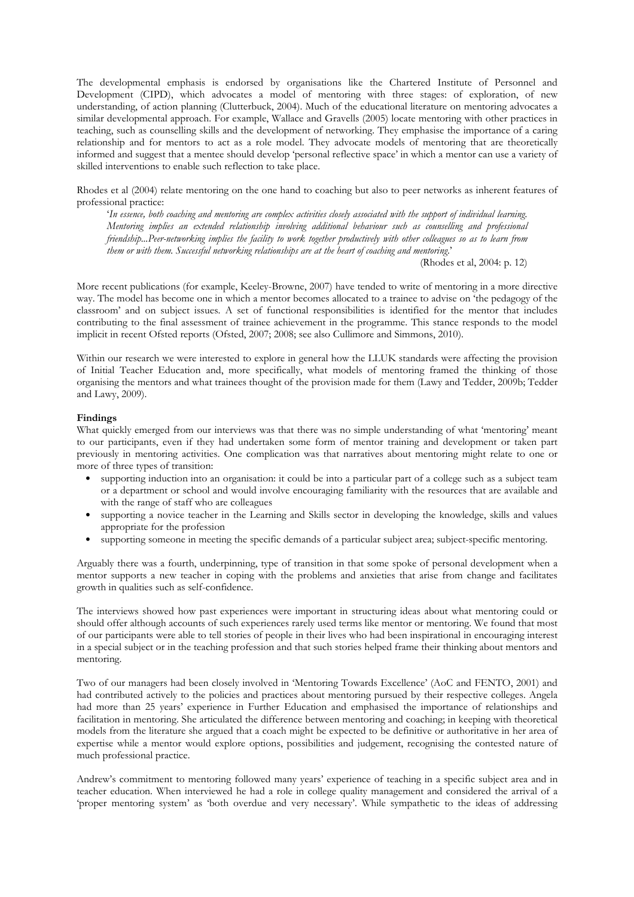The developmental emphasis is endorsed by organisations like the Chartered Institute of Personnel and Development (CIPD), which advocates a model of mentoring with three stages: of exploration, of new understanding, of action planning (Clutterbuck, 2004). Much of the educational literature on mentoring advocates a similar developmental approach. For example, Wallace and Gravells (2005) locate mentoring with other practices in teaching, such as counselling skills and the development of networking. They emphasise the importance of a caring relationship and for mentors to act as a role model. They advocate models of mentoring that are theoretically informed and suggest that a mentee should develop 'personal reflective space' in which a mentor can use a variety of skilled interventions to enable such reflection to take place.

Rhodes et al (2004) relate mentoring on the one hand to coaching but also to peer networks as inherent features of professional practice:

'In essence, both coaching and mentoring are complex activities closely associated with the support of individual learning. Mentoring implies an extended relationship involving additional behaviour such as counselling and professional friendship...Peer-networking implies the facility to work together productively with other colleagues so as to learn from them or with them. Successful networking relationships are at the heart of coaching and mentoring.'

(Rhodes et al, 2004: p. 12)

More recent publications (for example, Keeley-Browne, 2007) have tended to write of mentoring in a more directive way. The model has become one in which a mentor becomes allocated to a trainee to advise on 'the pedagogy of the classroom' and on subject issues. A set of functional responsibilities is identified for the mentor that includes contributing to the final assessment of trainee achievement in the programme. This stance responds to the model implicit in recent Ofsted reports (Ofsted, 2007; 2008; see also Cullimore and Simmons, 2010).

Within our research we were interested to explore in general how the LLUK standards were affecting the provision of Initial Teacher Education and, more specifically, what models of mentoring framed the thinking of those organising the mentors and what trainees thought of the provision made for them (Lawy and Tedder, 2009b; Tedder and Lawy, 2009).

## Findings

What quickly emerged from our interviews was that there was no simple understanding of what 'mentoring' meant to our participants, even if they had undertaken some form of mentor training and development or taken part previously in mentoring activities. One complication was that narratives about mentoring might relate to one or more of three types of transition:

- supporting induction into an organisation: it could be into a particular part of a college such as a subject team or a department or school and would involve encouraging familiarity with the resources that are available and with the range of staff who are colleagues
- supporting a novice teacher in the Learning and Skills sector in developing the knowledge, skills and values appropriate for the profession
- supporting someone in meeting the specific demands of a particular subject area; subject-specific mentoring.

Arguably there was a fourth, underpinning, type of transition in that some spoke of personal development when a mentor supports a new teacher in coping with the problems and anxieties that arise from change and facilitates growth in qualities such as self-confidence.

The interviews showed how past experiences were important in structuring ideas about what mentoring could or should offer although accounts of such experiences rarely used terms like mentor or mentoring. We found that most of our participants were able to tell stories of people in their lives who had been inspirational in encouraging interest in a special subject or in the teaching profession and that such stories helped frame their thinking about mentors and mentoring.

Two of our managers had been closely involved in 'Mentoring Towards Excellence' (AoC and FENTO, 2001) and had contributed actively to the policies and practices about mentoring pursued by their respective colleges. Angela had more than 25 years' experience in Further Education and emphasised the importance of relationships and facilitation in mentoring. She articulated the difference between mentoring and coaching; in keeping with theoretical models from the literature she argued that a coach might be expected to be definitive or authoritative in her area of expertise while a mentor would explore options, possibilities and judgement, recognising the contested nature of much professional practice.

Andrew's commitment to mentoring followed many years' experience of teaching in a specific subject area and in teacher education. When interviewed he had a role in college quality management and considered the arrival of a 'proper mentoring system' as 'both overdue and very necessary'. While sympathetic to the ideas of addressing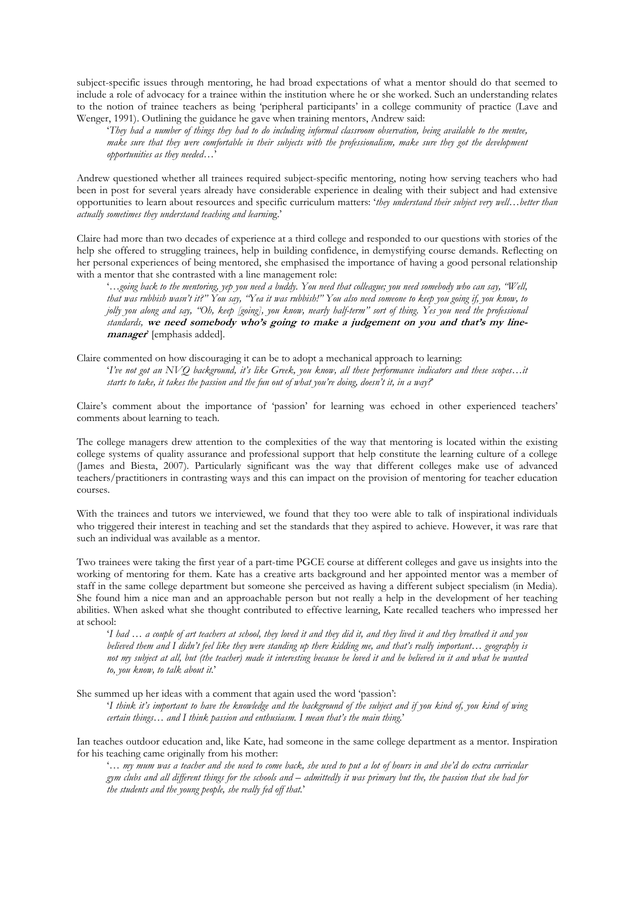subject-specific issues through mentoring, he had broad expectations of what a mentor should do that seemed to include a role of advocacy for a trainee within the institution where he or she worked. Such an understanding relates to the notion of trainee teachers as being 'peripheral participants' in a college community of practice (Lave and Wenger, 1991). Outlining the guidance he gave when training mentors, Andrew said:

'They had a number of things they had to do including informal classroom observation, being available to the mentee, make sure that they were comfortable in their subjects with the professionalism, make sure they got the development opportunities as they needed…'

Andrew questioned whether all trainees required subject-specific mentoring, noting how serving teachers who had been in post for several years already have considerable experience in dealing with their subject and had extensive opportunities to learn about resources and specific curriculum matters: 'they understand their subject very well…better than actually sometimes they understand teaching and learning.'

Claire had more than two decades of experience at a third college and responded to our questions with stories of the help she offered to struggling trainees, help in building confidence, in demystifying course demands. Reflecting on her personal experiences of being mentored, she emphasised the importance of having a good personal relationship with a mentor that she contrasted with a line management role:

'…going back to the mentoring, yep you need a buddy. You need that colleague; you need somebody who can say, "Well, that was rubbish wasn't it?" You say, "Yea it was rubbish!" You also need someone to keep you going if, you know, to jolly you along and say, "Oh, keep [going], you know, nearly half-term" sort of thing. Yes you need the professional standards, we need somebody who's going to make a judgement on you and that's my linemanager' [emphasis added].

Claire commented on how discouraging it can be to adopt a mechanical approach to learning: 'I've not got an NVQ background, it's like Greek, you know, all these performance indicators and these scopes…it starts to take, it takes the passion and the fun out of what you're doing, doesn't it, in a way?'

Claire's comment about the importance of 'passion' for learning was echoed in other experienced teachers' comments about learning to teach.

The college managers drew attention to the complexities of the way that mentoring is located within the existing college systems of quality assurance and professional support that help constitute the learning culture of a college (James and Biesta, 2007). Particularly significant was the way that different colleges make use of advanced teachers/practitioners in contrasting ways and this can impact on the provision of mentoring for teacher education courses.

With the trainees and tutors we interviewed, we found that they too were able to talk of inspirational individuals who triggered their interest in teaching and set the standards that they aspired to achieve. However, it was rare that such an individual was available as a mentor.

Two trainees were taking the first year of a part-time PGCE course at different colleges and gave us insights into the working of mentoring for them. Kate has a creative arts background and her appointed mentor was a member of staff in the same college department but someone she perceived as having a different subject specialism (in Media). She found him a nice man and an approachable person but not really a help in the development of her teaching abilities. When asked what she thought contributed to effective learning, Kate recalled teachers who impressed her at school:

'I had … a couple of art teachers at school, they loved it and they did it, and they lived it and they breathed it and you believed them and I didn't feel like they were standing up there kidding me, and that's really important… geography is not my subject at all, but (the teacher) made it interesting because he loved it and he believed in it and what he wanted to, you know, to talk about it.'

She summed up her ideas with a comment that again used the word 'passion':

'I think it's important to have the knowledge and the background of the subject and if you kind of, you kind of wing certain things… and I think passion and enthusiasm. I mean that's the main thing.'

Ian teaches outdoor education and, like Kate, had someone in the same college department as a mentor. Inspiration for his teaching came originally from his mother:

'… my mum was a teacher and she used to come back, she used to put a lot of hours in and she'd do extra curricular gym clubs and all different things for the schools and – admittedly it was primary but the, the passion that she had for the students and the young people, she really fed off that.'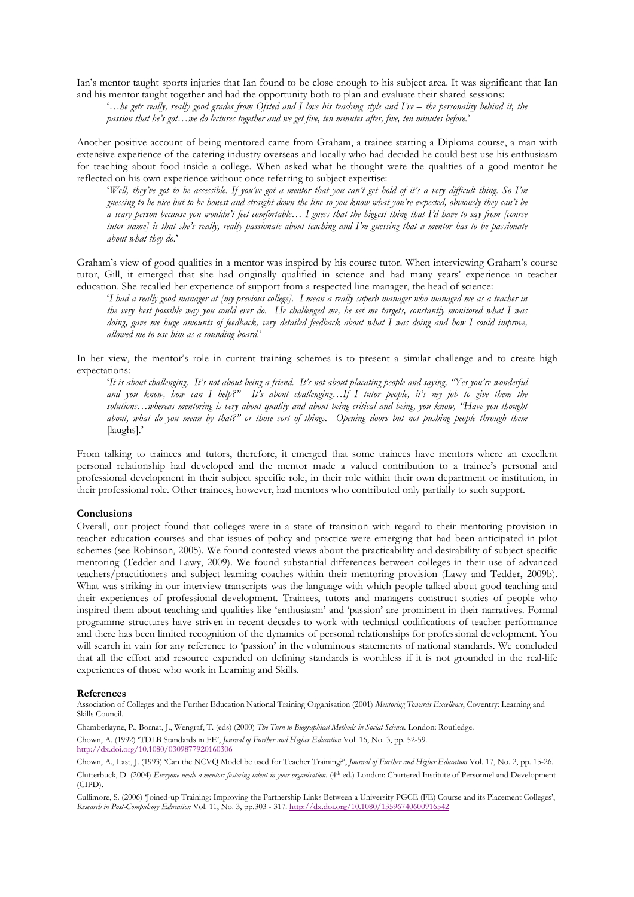Ian's mentor taught sports injuries that Ian found to be close enough to his subject area. It was significant that Ian and his mentor taught together and had the opportunity both to plan and evaluate their shared sessions:

'…he gets really, really good grades from Ofsted and I love his teaching style and I've – the personality behind it, the passion that he's got…we do lectures together and we get five, ten minutes after, five, ten minutes before.'

Another positive account of being mentored came from Graham, a trainee starting a Diploma course, a man with extensive experience of the catering industry overseas and locally who had decided he could best use his enthusiasm for teaching about food inside a college. When asked what he thought were the qualities of a good mentor he reflected on his own experience without once referring to subject expertise:

'Well, they've got to be accessible. If you've got a mentor that you can't get hold of it's a very difficult thing. So I'm guessing to be nice but to be honest and straight down the line so you know what you're expected, obviously they can't be a scary person because you wouldn't feel comfortable… I guess that the biggest thing that I'd have to say from [course tutor name] is that she's really, really passionate about teaching and I'm guessing that a mentor has to be passionate about what they do.'

Graham's view of good qualities in a mentor was inspired by his course tutor. When interviewing Graham's course tutor, Gill, it emerged that she had originally qualified in science and had many years' experience in teacher education. She recalled her experience of support from a respected line manager, the head of science:

'I had a really good manager at [my previous college]. I mean a really superb manager who managed me as a teacher in the very best possible way you could ever do. He challenged me, he set me targets, constantly monitored what I was doing, gave me huge amounts of feedback, very detailed feedback about what I was doing and how I could improve, allowed me to use him as a sounding board.'

In her view, the mentor's role in current training schemes is to present a similar challenge and to create high expectations:

'It is about challenging. It's not about being a friend. It's not about placating people and saying, "Yes you're wonderful and you know, how can I help?" It's about challenging…If I tutor people, it's my job to give them the solutions…whereas mentoring is very about quality and about being critical and being, you know, "Have you thought about, what do you mean by that?" or those sort of things. Opening doors but not pushing people through them [laughs].'

From talking to trainees and tutors, therefore, it emerged that some trainees have mentors where an excellent personal relationship had developed and the mentor made a valued contribution to a trainee's personal and professional development in their subject specific role, in their role within their own department or institution, in their professional role. Other trainees, however, had mentors who contributed only partially to such support.

#### Conclusions

Overall, our project found that colleges were in a state of transition with regard to their mentoring provision in teacher education courses and that issues of policy and practice were emerging that had been anticipated in pilot schemes (see Robinson, 2005). We found contested views about the practicability and desirability of subject-specific mentoring (Tedder and Lawy, 2009). We found substantial differences between colleges in their use of advanced teachers/practitioners and subject learning coaches within their mentoring provision (Lawy and Tedder, 2009b). What was striking in our interview transcripts was the language with which people talked about good teaching and their experiences of professional development. Trainees, tutors and managers construct stories of people who inspired them about teaching and qualities like 'enthusiasm' and 'passion' are prominent in their narratives. Formal programme structures have striven in recent decades to work with technical codifications of teacher performance and there has been limited recognition of the dynamics of personal relationships for professional development. You will search in vain for any reference to 'passion' in the voluminous statements of national standards. We concluded that all the effort and resource expended on defining standards is worthless if it is not grounded in the real-life experiences of those who work in Learning and Skills.

#### References

Association of Colleges and the Further Education National Training Organisation (2001) Mentoring Towards Excellence, Coventry: Learning and Skills Council.

Chamberlayne, P., Bornat, J., Wengraf, T. (eds) (2000) The Turn to Biographical Methods in Social Science. London: Routledge. Chown, A. (1992) 'TDLB Standards in FE', Journal of Further and Higher Education Vol. 16, No. 3, pp. 52-59. http://dx.doi.org/10.1080/0309877920160306

Chown, A., Last, J. (1993) 'Can the NCVQ Model be used for Teacher Training?', Journal of Further and Higher Education Vol. 17, No. 2, pp. 15-26. Clutterbuck, D. (2004) Everyone needs a mentor: fostering talent in your organisation. (4<sup>th</sup> ed.) London: Chartered Institute of Personnel and Development (CIPD).

Cullimore, S. (2006) 'Joined-up Training: Improving the Partnership Links Between a University PGCE (FE) Course and its Placement Colleges', Research in Post-Compulsory Education Vol. 11, No. 3, pp.303 - 317. http://dx.doi.org/10.1080/13596740600916542